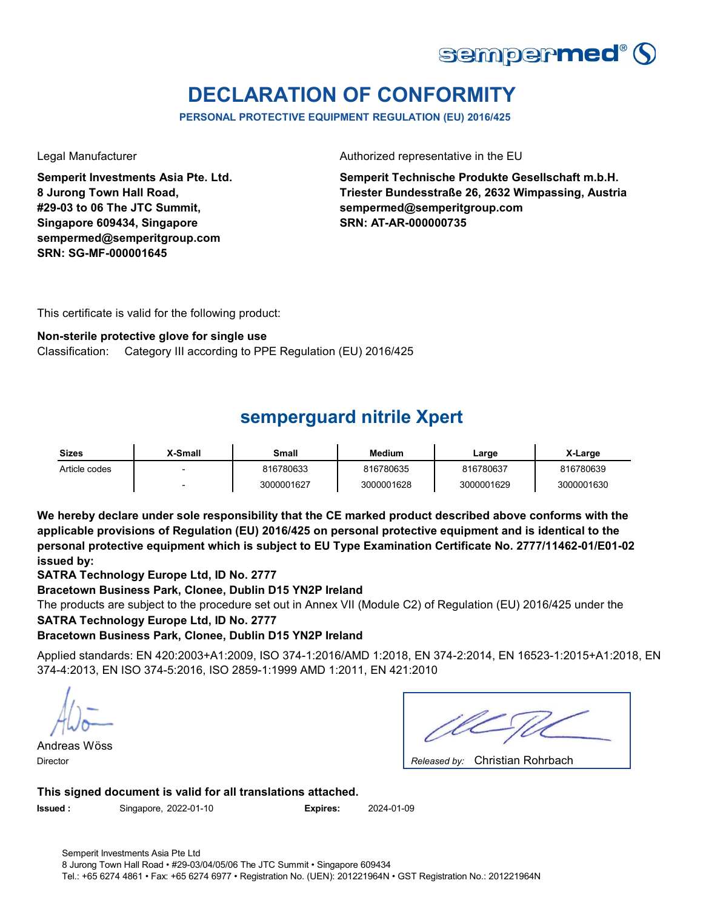

# **DECLARATION OF CONFORMITY**

**PERSONAL PROTECTIVE EQUIPMENT REGULATION (EU) 2016/425**

**Semperit Investments Asia Pte. Ltd. 8 Jurong Town Hall Road, #29-03 to 06 The JTC Summit, Singapore 609434, Singapore sempermed@semperitgroup.com SRN: SG-MF-000001645**

Legal Manufacturer **Authorized representative in the EU** 

**Semperit Technische Produkte Gesellschaft m.b.H. Triester Bundesstraße 26, 2632 Wimpassing, Austria sempermed@semperitgroup.com SRN: AT-AR-000000735**

This certificate is valid for the following product:

#### **Non-sterile protective glove for single use**

Classification: Category III according to PPE Regulation (EU) 2016/425

# **semperguard nitrile Xpert**

| Sizes         | X-Small | Small      | Medium     | Large      | X-Large    |
|---------------|---------|------------|------------|------------|------------|
| Article codes |         | 816780633  | 816780635  | 816780637  | 816780639  |
|               |         | 3000001627 | 3000001628 | 3000001629 | 3000001630 |

**We hereby declare under sole responsibility that the CE marked product described above conforms with the applicable provisions of Regulation (EU) 2016/425 on personal protective equipment and is identical to the personal protective equipment which is subject to EU Type Examination Certificate No. 2777/11462-01/E01-02 issued by:**

**SATRA Technology Europe Ltd, ID No. 2777**

**Bracetown Business Park, Clonee, Dublin D15 YN2P Ireland**

The products are subject to the procedure set out in Annex VII (Module C2) of Regulation (EU) 2016/425 under the **SATRA Technology Europe Ltd, ID No. 2777**

### **Bracetown Business Park, Clonee, Dublin D15 YN2P Ireland**

Applied standards: EN 420:2003+A1:2009, ISO 374-1:2016/AMD 1:2018, EN 374-2:2014, EN 16523-1:2015+A1:2018, EN 374-4:2013, EN ISO 374-5:2016, ISO 2859-1:1999 AMD 1:2011, EN 421:2010

Andreas Wöss Director *Released by:* 

| Released by: Christian Rohrbach |  |
|---------------------------------|--|

### **This signed document is valid for all translations attached.**

**Issued :** Singapore, 2022-01-10 **Expires:** 2024-01-09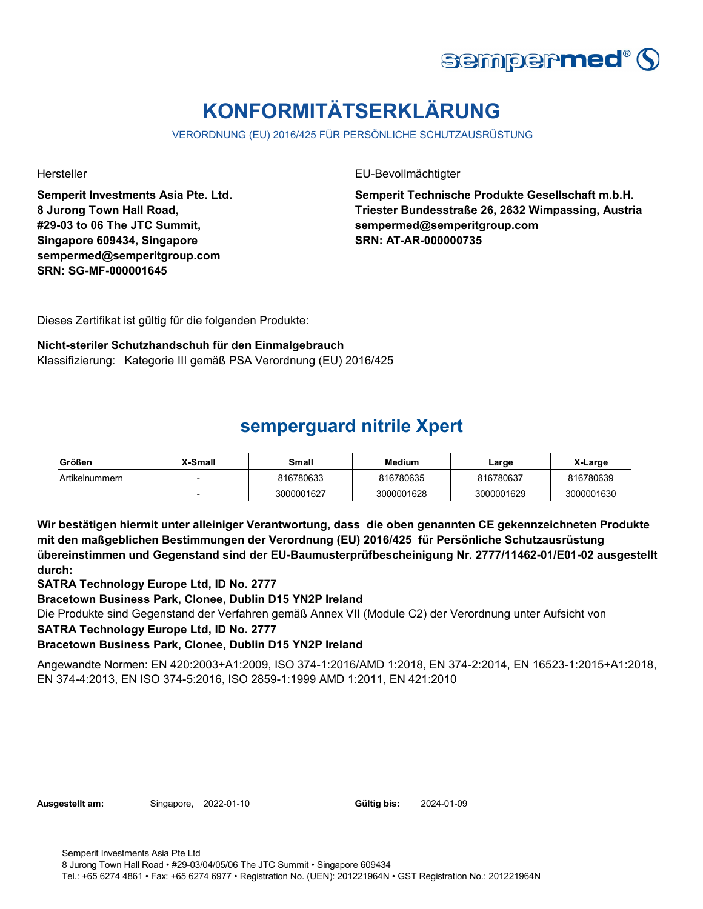

# **KONFORMITÄTSERKLÄRUNG**

VERORDNUNG (EU) 2016/425 FÜR PERSÖNLICHE SCHUTZAUSRÜSTUNG

**Semperit Investments Asia Pte. Ltd. 8 Jurong Town Hall Road, #29-03 to 06 The JTC Summit, Singapore 609434, Singapore sempermed@semperitgroup.com SRN: SG-MF-000001645**

Hersteller EU-Bevollmächtigter

**Semperit Technische Produkte Gesellschaft m.b.H. Triester Bundesstraße 26, 2632 Wimpassing, Austria sempermed@semperitgroup.com SRN: AT-AR-000000735**

Dieses Zertifikat ist gültig für die folgenden Produkte:

### **Nicht-steriler Schutzhandschuh für den Einmalgebrauch**

Klassifizierung: Kategorie III gemäß PSA Verordnung (EU) 2016/425

# **semperguard nitrile Xpert**

| Größen         | X-Small | Small      | <b>Medium</b> | Large      | X-Large    |
|----------------|---------|------------|---------------|------------|------------|
| Artikelnummern |         | 816780633  | 816780635     | 816780637  | 816780639  |
|                |         | 3000001627 | 3000001628    | 3000001629 | 3000001630 |

**Wir bestätigen hiermit unter alleiniger Verantwortung, dass die oben genannten CE gekennzeichneten Produkte mit den maßgeblichen Bestimmungen der Verordnung (EU) 2016/425 für Persönliche Schutzausrüstung übereinstimmen und Gegenstand sind der EU-Baumusterprüfbescheinigung Nr. 2777/11462-01/E01-02 ausgestellt durch:**

**SATRA Technology Europe Ltd, ID No. 2777**

**Bracetown Business Park, Clonee, Dublin D15 YN2P Ireland**

Die Produkte sind Gegenstand der Verfahren gemäß Annex VII (Module C2) der Verordnung unter Aufsicht von

**SATRA Technology Europe Ltd, ID No. 2777**

### **Bracetown Business Park, Clonee, Dublin D15 YN2P Ireland**

Angewandte Normen: EN 420:2003+A1:2009, ISO 374-1:2016/AMD 1:2018, EN 374-2:2014, EN 16523-1:2015+A1:2018, EN 374-4:2013, EN ISO 374-5:2016, ISO 2859-1:1999 AMD 1:2011, EN 421:2010

| Singapore, 2022-01-10<br>Ausgestellt am: |  | Gültig bis: |
|------------------------------------------|--|-------------|
|------------------------------------------|--|-------------|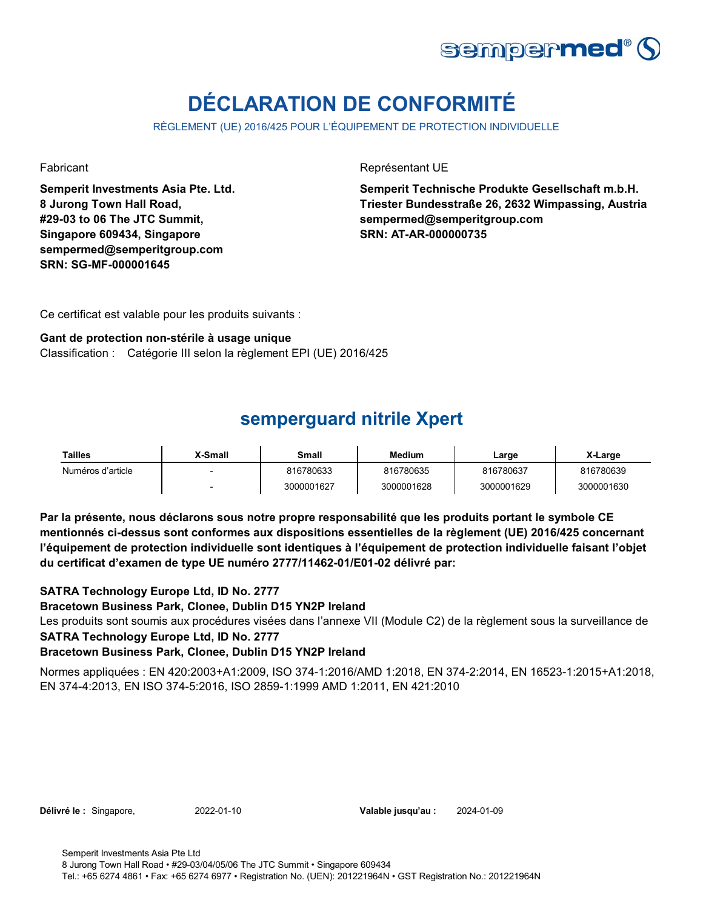

# **DÉCLARATION DE CONFORMITÉ**

RÈGLEMENT (UE) 2016/425 POUR L'ÉQUIPEMENT DE PROTECTION INDIVIDUELLE

**Semperit Investments Asia Pte. Ltd. 8 Jurong Town Hall Road, #29-03 to 06 The JTC Summit, Singapore 609434, Singapore sempermed@semperitgroup.com SRN: SG-MF-000001645**

Fabricant **Représentant UE** 

**Semperit Technische Produkte Gesellschaft m.b.H. Triester Bundesstraße 26, 2632 Wimpassing, Austria sempermed@semperitgroup.com SRN: AT-AR-000000735**

Ce certificat est valable pour les produits suivants :

#### **Gant de protection non-stérile à usage unique**

Classification : Catégorie III selon la règlement EPI (UE) 2016/425

### **semperguard nitrile Xpert**

| Tailles           | X-Small | Small      | <b>Medium</b> | Large      | X-Large    |
|-------------------|---------|------------|---------------|------------|------------|
| Numéros d'article |         | 816780633  | 816780635     | 816780637  | 816780639  |
|                   |         | 3000001627 | 3000001628    | 3000001629 | 3000001630 |

**Par la présente, nous déclarons sous notre propre responsabilité que les produits portant le symbole CE mentionnés ci-dessus sont conformes aux dispositions essentielles de la règlement (UE) 2016/425 concernant l'équipement de protection individuelle sont identiques à l'équipement de protection individuelle faisant l'objet du certificat d'examen de type UE numéro 2777/11462-01/E01-02 délivré par:**

### **SATRA Technology Europe Ltd, ID No. 2777**

#### **Bracetown Business Park, Clonee, Dublin D15 YN2P Ireland**

Les produits sont soumis aux procédures visées dans l'annexe VII (Module C2) de la règlement sous la surveillance de **SATRA Technology Europe Ltd, ID No. 2777**

### **Bracetown Business Park, Clonee, Dublin D15 YN2P Ireland**

Normes appliquées : EN 420:2003+A1:2009, ISO 374-1:2016/AMD 1:2018, EN 374-2:2014, EN 16523-1:2015+A1:2018, EN 374-4:2013, EN ISO 374-5:2016, ISO 2859-1:1999 AMD 1:2011, EN 421:2010

**Délivré le :** Singapore, 2022-01-10

Valable jusqu'au : 2024-01-09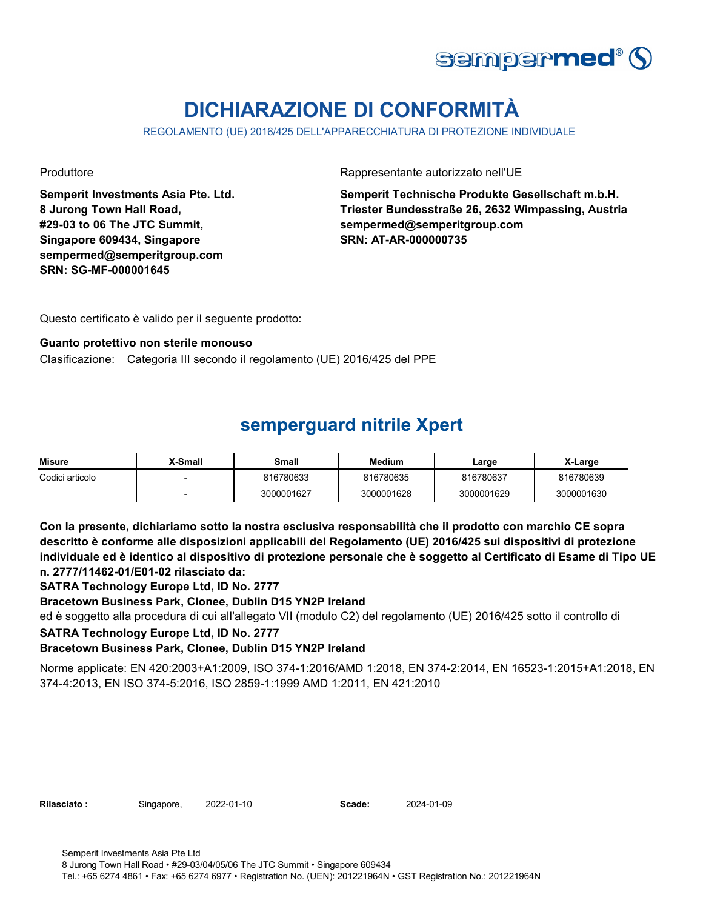

# **DICHIARAZIONE DI CONFORMITÀ**

REGOLAMENTO (UE) 2016/425 DELL'APPARECCHIATURA DI PROTEZIONE INDIVIDUALE

**Semperit Investments Asia Pte. Ltd. 8 Jurong Town Hall Road, #29-03 to 06 The JTC Summit, Singapore 609434, Singapore sempermed@semperitgroup.com SRN: SG-MF-000001645**

Produttore **Rappresentante autorizzato nell'UE** 

**Semperit Technische Produkte Gesellschaft m.b.H. Triester Bundesstraße 26, 2632 Wimpassing, Austria sempermed@semperitgroup.com SRN: AT-AR-000000735**

Questo certificato è valido per il seguente prodotto:

#### **Guanto protettivo non sterile monouso**

Clasificazione: Categoria III secondo il regolamento (UE) 2016/425 del PPE

## **semperguard nitrile Xpert**

| <b>Misure</b>   | X-Small | Small      | Medium     | Large      | X-Large    |
|-----------------|---------|------------|------------|------------|------------|
| Codici articolo |         | 816780633  | 816780635  | 816780637  | 816780639  |
|                 |         | 3000001627 | 3000001628 | 3000001629 | 3000001630 |

**Con la presente, dichiariamo sotto la nostra esclusiva responsabilità che il prodotto con marchio CE sopra descritto è conforme alle disposizioni applicabili del Regolamento (UE) 2016/425 sui dispositivi di protezione individuale ed è identico al dispositivo di protezione personale che è soggetto al Certificato di Esame di Tipo UE n. 2777/11462-01/E01-02 rilasciato da:**

**SATRA Technology Europe Ltd, ID No. 2777**

**Bracetown Business Park, Clonee, Dublin D15 YN2P Ireland**

ed è soggetto alla procedura di cui all'allegato VII (modulo C2) del regolamento (UE) 2016/425 sotto il controllo di

### **SATRA Technology Europe Ltd, ID No. 2777**

### **Bracetown Business Park, Clonee, Dublin D15 YN2P Ireland**

Norme applicate: EN 420:2003+A1:2009, ISO 374-1:2016/AMD 1:2018, EN 374-2:2014, EN 16523-1:2015+A1:2018, EN 374-4:2013, EN ISO 374-5:2016, ISO 2859-1:1999 AMD 1:2011, EN 421:2010

Rilasciato : Singapore, 2022-01-10 **Scade:** 

2024-01-09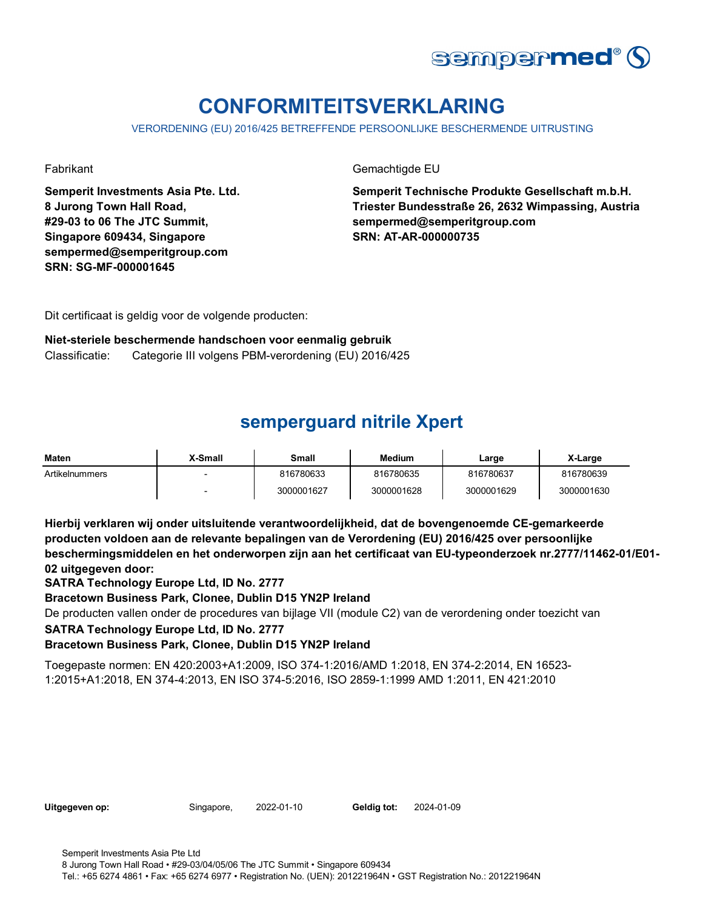

# **CONFORMITEITSVERKLARING**

VERORDENING (EU) 2016/425 BETREFFENDE PERSOONLIJKE BESCHERMENDE UITRUSTING

**Semperit Investments Asia Pte. Ltd. 8 Jurong Town Hall Road, #29-03 to 06 The JTC Summit, Singapore 609434, Singapore sempermed@semperitgroup.com SRN: SG-MF-000001645**

Fabrikant Gemachtigde EU

**Semperit Technische Produkte Gesellschaft m.b.H. Triester Bundesstraße 26, 2632 Wimpassing, Austria sempermed@semperitgroup.com SRN: AT-AR-000000735**

Dit certificaat is geldig voor de volgende producten:

### **Niet-steriele beschermende handschoen voor eenmalig gebruik**

Classificatie: Categorie III volgens PBM-verordening (EU) 2016/425

### **semperguard nitrile Xpert**

| Maten          | X-Small                  | Small      | <b>Medium</b> | ∟arge      | X-Large    |
|----------------|--------------------------|------------|---------------|------------|------------|
| Artikelnummers |                          | 816780633  | 816780635     | 816780637  | 816780639  |
|                | $\overline{\phantom{0}}$ | 3000001627 | 3000001628    | 3000001629 | 3000001630 |

**Hierbij verklaren wij onder uitsluitende verantwoordelijkheid, dat de bovengenoemde CE-gemarkeerde producten voldoen aan de relevante bepalingen van de Verordening (EU) 2016/425 over persoonlijke beschermingsmiddelen en het onderworpen zijn aan het certificaat van EU-typeonderzoek nr.2777/11462-01/E01- 02 uitgegeven door:**

**SATRA Technology Europe Ltd, ID No. 2777**

**Bracetown Business Park, Clonee, Dublin D15 YN2P Ireland**

De producten vallen onder de procedures van bijlage VII (module C2) van de verordening onder toezicht van

### **SATRA Technology Europe Ltd, ID No. 2777**

### **Bracetown Business Park, Clonee, Dublin D15 YN2P Ireland**

Toegepaste normen: EN 420:2003+A1:2009, ISO 374-1:2016/AMD 1:2018, EN 374-2:2014, EN 16523- 1:2015+A1:2018, EN 374-4:2013, EN ISO 374-5:2016, ISO 2859-1:1999 AMD 1:2011, EN 421:2010

| Uitgegeven op: |  |
|----------------|--|
|                |  |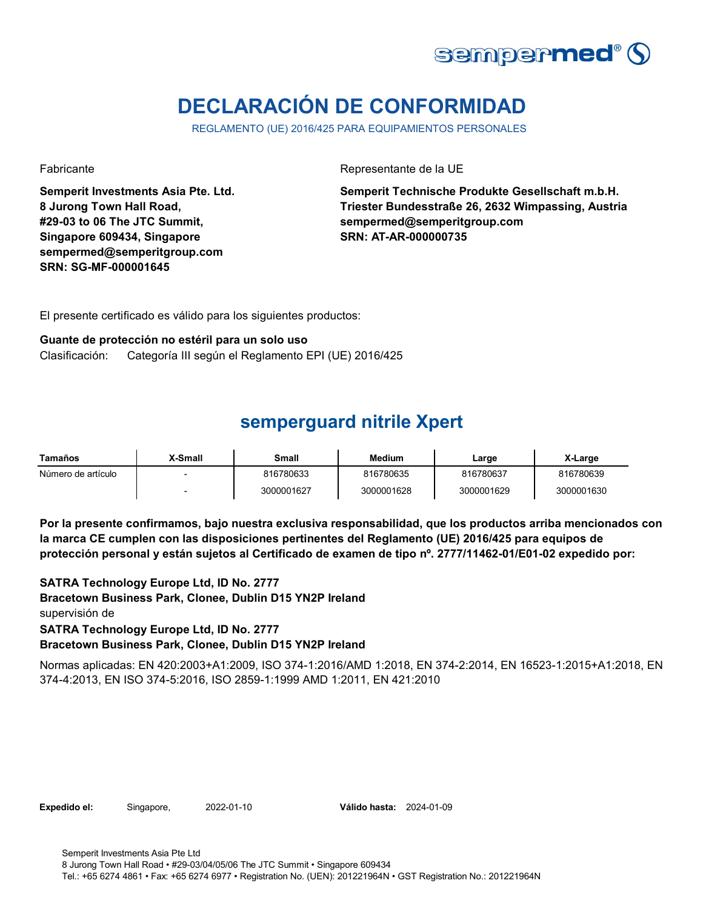

# **DECLARACIÓN DE CONFORMIDAD**

REGLAMENTO (UE) 2016/425 PARA EQUIPAMIENTOS PERSONALES

**Semperit Investments Asia Pte. Ltd. 8 Jurong Town Hall Road, #29-03 to 06 The JTC Summit, Singapore 609434, Singapore sempermed@semperitgroup.com SRN: SG-MF-000001645**

Fabricante de la UE estado e a contra el estado en el Representante de la UE

**Semperit Technische Produkte Gesellschaft m.b.H. Triester Bundesstraße 26, 2632 Wimpassing, Austria sempermed@semperitgroup.com SRN: AT-AR-000000735**

El presente certificado es válido para los siguientes productos:

#### **Guante de protección no estéril para un solo uso**

Clasificación: Categoría III según el Reglamento EPI (UE) 2016/425

### **semperguard nitrile Xpert**

| Tamaños            | <b>X-Small</b> | Small      | <b>Medium</b> | Large      | X-Large    |
|--------------------|----------------|------------|---------------|------------|------------|
| Número de artículo |                | 816780633  | 816780635     | 816780637  | 816780639  |
|                    |                | 3000001627 | 3000001628    | 3000001629 | 3000001630 |

**Por la presente confirmamos, bajo nuestra exclusiva responsabilidad, que los productos arriba mencionados con la marca CE cumplen con las disposiciones pertinentes del Reglamento (UE) 2016/425 para equipos de protección personal y están sujetos al Certificado de examen de tipo nº. 2777/11462-01/E01-02 expedido por:**

 **Bracetown Business Park, Clonee, Dublin D15 YN2P Ireland** supervisión de **SATRA Technology Europe Ltd, ID No. 2777 SATRA Technology Europe Ltd, ID No. 2777 Bracetown Business Park, Clonee, Dublin D15 YN2P Ireland**

Normas aplicadas: EN 420:2003+A1:2009, ISO 374-1:2016/AMD 1:2018, EN 374-2:2014, EN 16523-1:2015+A1:2018, EN 374-4:2013, EN ISO 374-5:2016, ISO 2859-1:1999 AMD 1:2011, EN 421:2010

**Expedido el:** Singapore, **Válido hasta:** 2022-01-10 2024-01-09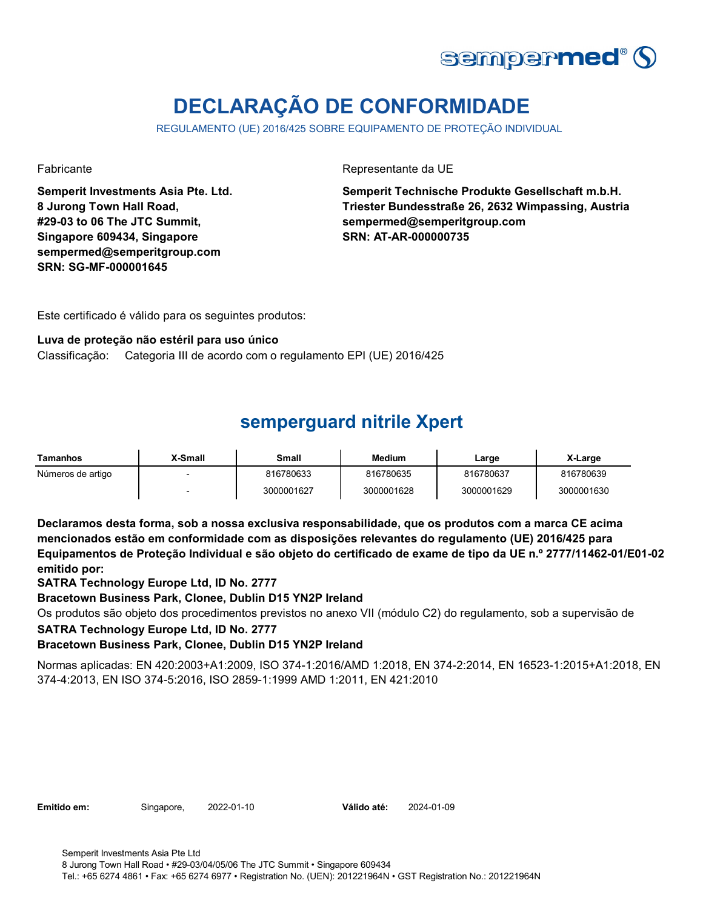

# **DECLARAÇÃO DE CONFORMIDADE**

REGULAMENTO (UE) 2016/425 SOBRE EQUIPAMENTO DE PROTEÇÃO INDIVIDUAL

**Semperit Investments Asia Pte. Ltd. 8 Jurong Town Hall Road, #29-03 to 06 The JTC Summit, Singapore 609434, Singapore sempermed@semperitgroup.com SRN: SG-MF-000001645**

Fabricante **Representante da UE** 

**Semperit Technische Produkte Gesellschaft m.b.H. Triester Bundesstraße 26, 2632 Wimpassing, Austria sempermed@semperitgroup.com SRN: AT-AR-000000735**

Este certificado é válido para os seguintes produtos:

#### **Luva de proteção não estéril para uso único**

Classificação: Categoria III de acordo com o regulamento EPI (UE) 2016/425

### **semperguard nitrile Xpert**

| Tamanhos          | X-Small | Small      | Medium     | Large      | X-Large    |
|-------------------|---------|------------|------------|------------|------------|
| Números de artigo |         | 816780633  | 816780635  | 816780637  | 816780639  |
|                   |         | 3000001627 | 3000001628 | 3000001629 | 3000001630 |

**Declaramos desta forma, sob a nossa exclusiva responsabilidade, que os produtos com a marca CE acima mencionados estão em conformidade com as disposições relevantes do regulamento (UE) 2016/425 para Equipamentos de Proteção Individual e são objeto do certificado de exame de tipo da UE n.º 2777/11462-01/E01-02 emitido por:**

**SATRA Technology Europe Ltd, ID No. 2777**

**Bracetown Business Park, Clonee, Dublin D15 YN2P Ireland**

Os produtos são objeto dos procedimentos previstos no anexo VII (módulo C2) do regulamento, sob a supervisão de

### **SATRA Technology Europe Ltd, ID No. 2777**

### **Bracetown Business Park, Clonee, Dublin D15 YN2P Ireland**

Normas aplicadas: EN 420:2003+A1:2009, ISO 374-1:2016/AMD 1:2018, EN 374-2:2014, EN 16523-1:2015+A1:2018, EN 374-4:2013, EN ISO 374-5:2016, ISO 2859-1:1999 AMD 1:2011, EN 421:2010

**Emitido em:** Singapore, 2022-01-10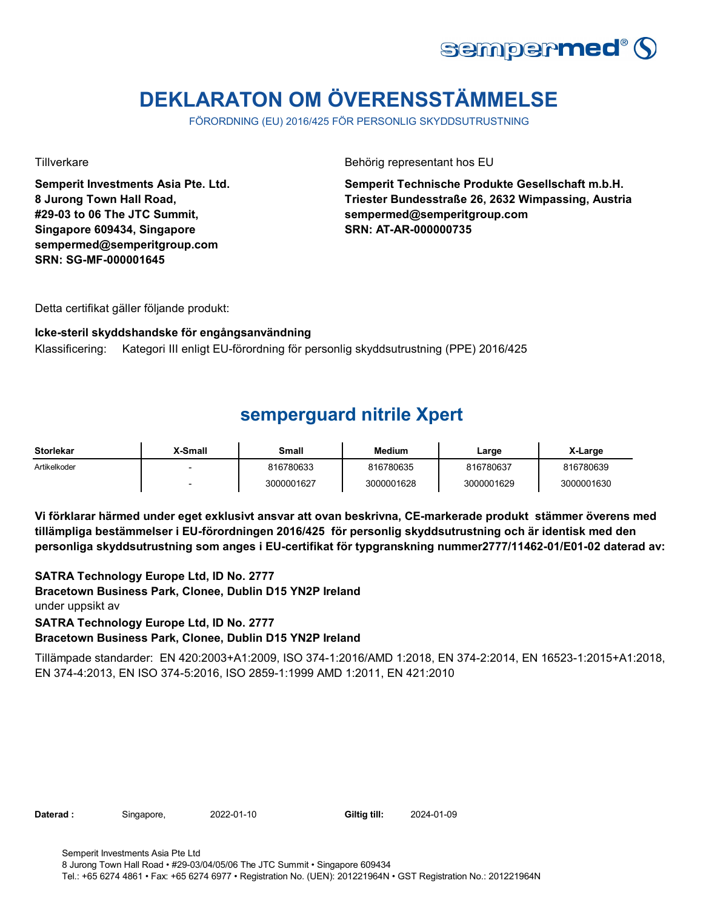

# **DEKLARATON OM ÖVERENSSTÄMMELSE**

FÖRORDNING (EU) 2016/425 FÖR PERSONLIG SKYDDSUTRUSTNING

**Semperit Investments Asia Pte. Ltd. 8 Jurong Town Hall Road, #29-03 to 06 The JTC Summit, Singapore 609434, Singapore sempermed@semperitgroup.com SRN: SG-MF-000001645**

Tillverkare Behörig representant hos EU

**Semperit Technische Produkte Gesellschaft m.b.H. Triester Bundesstraße 26, 2632 Wimpassing, Austria sempermed@semperitgroup.com SRN: AT-AR-000000735**

Detta certifikat gäller följande produkt:

**Icke-steril skyddshandske för engångsanvändning**  Klassificering: Kategori III enligt EU-förordning för personlig skyddsutrustning (PPE) 2016/425

## **semperguard nitrile Xpert**

| <b>Storlekar</b> | X-Small                  | Small      | <b>Medium</b> | Large      | X-Large    |
|------------------|--------------------------|------------|---------------|------------|------------|
| Artikelkoder     | $\overline{\phantom{0}}$ | 816780633  | 816780635     | 816780637  | 816780639  |
|                  | $\overline{\phantom{0}}$ | 3000001627 | 3000001628    | 3000001629 | 3000001630 |

**Vi förklarar härmed under eget exklusivt ansvar att ovan beskrivna, CE-markerade produkt stämmer överens med tillämpliga bestämmelser i EU-förordningen 2016/425 för personlig skyddsutrustning och är identisk med den personliga skyddsutrustning som anges i EU-certifikat för typgranskning nummer2777/11462-01/E01-02 daterad av:**

 **Bracetown Business Park, Clonee, Dublin D15 YN2P Ireland** under uppsikt av **SATRA Technology Europe Ltd, ID No. 2777**

**SATRA Technology Europe Ltd, ID No. 2777 Bracetown Business Park, Clonee, Dublin D15 YN2P Ireland**

Tillämpade standarder: EN 420:2003+A1:2009, ISO 374-1:2016/AMD 1:2018, EN 374-2:2014, EN 16523-1:2015+A1:2018, EN 374-4:2013, EN ISO 374-5:2016, ISO 2859-1:1999 AMD 1:2011, EN 421:2010

Daterad : Singapore, 2022-01-10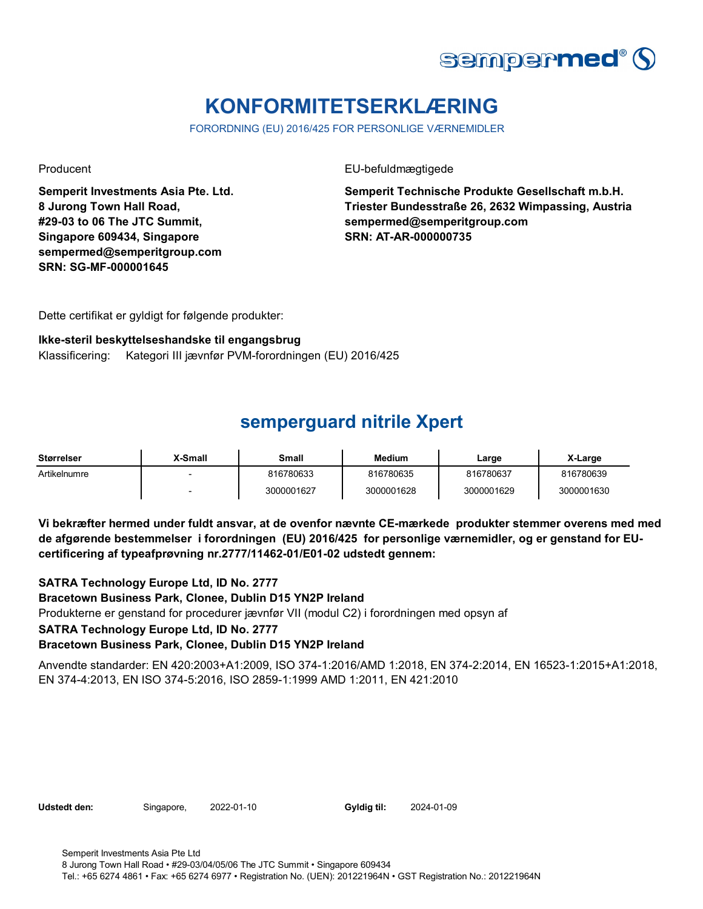

# **KONFORMITETSERKLÆRING**

FORORDNING (EU) 2016/425 FOR PERSONLIGE VÆRNEMIDLER

**Semperit Investments Asia Pte. Ltd. 8 Jurong Town Hall Road, #29-03 to 06 The JTC Summit, Singapore 609434, Singapore sempermed@semperitgroup.com SRN: SG-MF-000001645**

Producent EU-befuldmægtigede

**Semperit Technische Produkte Gesellschaft m.b.H. Triester Bundesstraße 26, 2632 Wimpassing, Austria sempermed@semperitgroup.com SRN: AT-AR-000000735**

Dette certifikat er gyldigt for følgende produkter:

#### **Ikke-steril beskyttelseshandske til engangsbrug**

Klassificering: Kategori III jævnfør PVM-forordningen (EU) 2016/425

### **semperguard nitrile Xpert**

| Størrelser   | X-Small | Small      | <b>Medium</b> | Large      | X-Large    |
|--------------|---------|------------|---------------|------------|------------|
| Artikelnumre |         | 816780633  | 816780635     | 816780637  | 816780639  |
|              |         | 3000001627 | 3000001628    | 3000001629 | 3000001630 |

**Vi bekræfter hermed under fuldt ansvar, at de ovenfor nævnte CE-mærkede produkter stemmer overens med med de afgørende bestemmelser i forordningen (EU) 2016/425 for personlige værnemidler, og er genstand for EUcertificering af typeafprøvning nr.2777/11462-01/E01-02 udstedt gennem:**

**SATRA Technology Europe Ltd, ID No. 2777**

**Bracetown Business Park, Clonee, Dublin D15 YN2P Ireland**

Produkterne er genstand for procedurer jævnfør VII (modul C2) i forordningen med opsyn af

### **SATRA Technology Europe Ltd, ID No. 2777**

### **Bracetown Business Park, Clonee, Dublin D15 YN2P Ireland**

Anvendte standarder: EN 420:2003+A1:2009, ISO 374-1:2016/AMD 1:2018, EN 374-2:2014, EN 16523-1:2015+A1:2018, EN 374-4:2013, EN ISO 374-5:2016, ISO 2859-1:1999 AMD 1:2011, EN 421:2010

**Udstedt den:** Singapore, 2022-01-10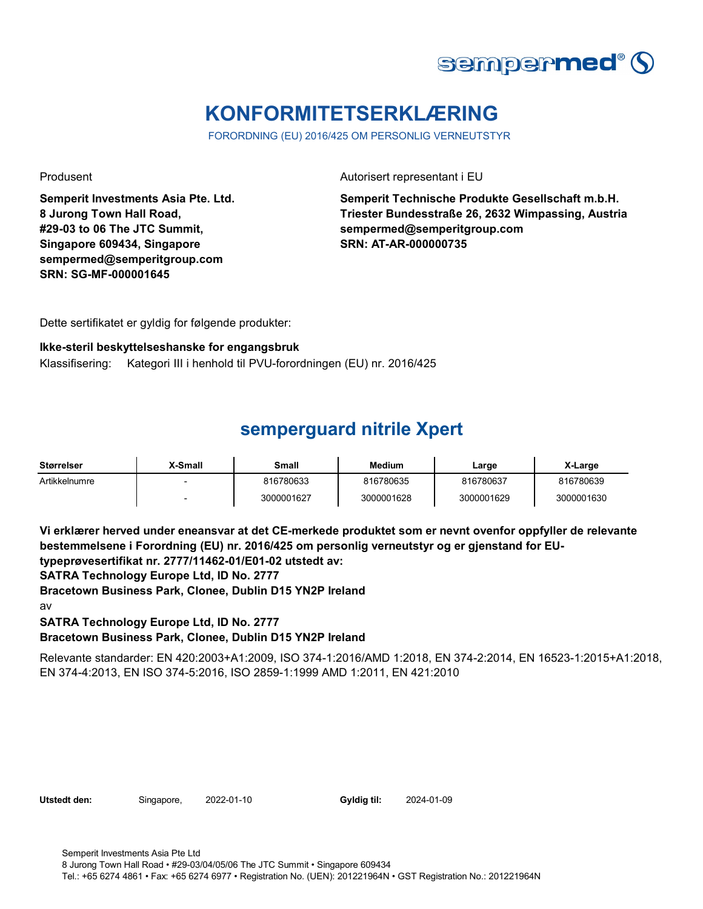

# **KONFORMITETSERKLÆRING**

FORORDNING (EU) 2016/425 OM PERSONLIG VERNEUTSTYR

**Semperit Investments Asia Pte. Ltd. 8 Jurong Town Hall Road, #29-03 to 06 The JTC Summit, Singapore 609434, Singapore sempermed@semperitgroup.com SRN: SG-MF-000001645**

Produsent Autorisert representant i EU

**Semperit Technische Produkte Gesellschaft m.b.H. Triester Bundesstraße 26, 2632 Wimpassing, Austria sempermed@semperitgroup.com SRN: AT-AR-000000735**

Dette sertifikatet er gyldig for følgende produkter:

#### **Ikke-steril beskyttelseshanske for engangsbruk**

Klassifisering: Kategori III i henhold til PVU-forordningen (EU) nr. 2016/425

## **semperguard nitrile Xpert**

| <b>Størrelser</b> | <b>X-Small</b>           | Small      | <b>Medium</b> | Large      | X-Large    |
|-------------------|--------------------------|------------|---------------|------------|------------|
| Artikkelnumre     |                          | 816780633  | 816780635     | 816780637  | 816780639  |
|                   | $\overline{\phantom{0}}$ | 3000001627 | 3000001628    | 3000001629 | 3000001630 |

**Vi erklærer herved under eneansvar at det CE-merkede produktet som er nevnt ovenfor oppfyller de relevante bestemmelsene i Forordning (EU) nr. 2016/425 om personlig verneutstyr og er gjenstand for EUtypeprøvesertifikat nr. 2777/11462-01/E01-02 utstedt av:**

**SATRA Technology Europe Ltd, ID No. 2777**

**Bracetown Business Park, Clonee, Dublin D15 YN2P Ireland**

av

**SATRA Technology Europe Ltd, ID No. 2777**

**Bracetown Business Park, Clonee, Dublin D15 YN2P Ireland**

Relevante standarder: EN 420:2003+A1:2009, ISO 374-1:2016/AMD 1:2018, EN 374-2:2014, EN 16523-1:2015+A1:2018, EN 374-4:2013, EN ISO 374-5:2016, ISO 2859-1:1999 AMD 1:2011, EN 421:2010

Utstedt den: Singapore, 2022-01-10 Gyldig til:

2024-01-09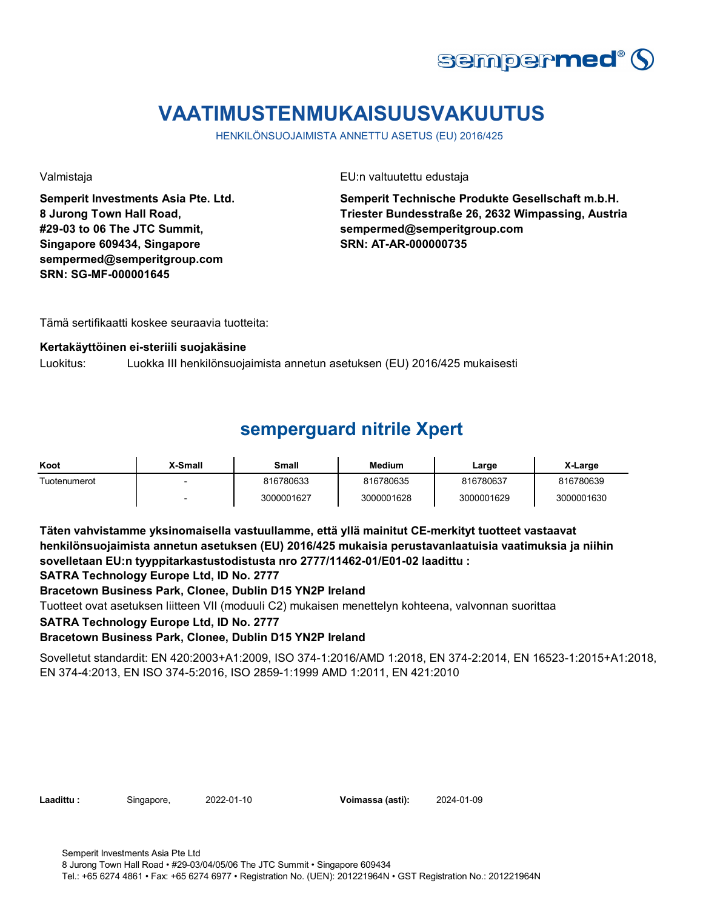

# **VAATIMUSTENMUKAISUUSVAKUUTUS**

HENKILÖNSUOJAIMISTA ANNETTU ASETUS (EU) 2016/425

**Semperit Investments Asia Pte. Ltd. 8 Jurong Town Hall Road, #29-03 to 06 The JTC Summit, Singapore 609434, Singapore sempermed@semperitgroup.com SRN: SG-MF-000001645**

Valmistaja EU:n valtuutettu edustaja

**Semperit Technische Produkte Gesellschaft m.b.H. Triester Bundesstraße 26, 2632 Wimpassing, Austria sempermed@semperitgroup.com SRN: AT-AR-000000735**

Tämä sertifikaatti koskee seuraavia tuotteita:

#### **Kertakäyttöinen ei-steriili suojakäsine**

Luokitus: Luokka III henkilönsuojaimista annetun asetuksen (EU) 2016/425 mukaisesti

## **semperguard nitrile Xpert**

| Koot         | X-Small | Small      | Medium     | Large      | X-Large    |
|--------------|---------|------------|------------|------------|------------|
| Tuotenumerot |         | 816780633  | 816780635  | 816780637  | 816780639  |
|              | -       | 3000001627 | 3000001628 | 3000001629 | 3000001630 |

**Täten vahvistamme yksinomaisella vastuullamme, että yllä mainitut CE-merkityt tuotteet vastaavat henkilönsuojaimista annetun asetuksen (EU) 2016/425 mukaisia perustavanlaatuisia vaatimuksia ja niihin sovelletaan EU:n tyyppitarkastustodistusta nro 2777/11462-01/E01-02 laadittu :**

**SATRA Technology Europe Ltd, ID No. 2777**

**Bracetown Business Park, Clonee, Dublin D15 YN2P Ireland**

Tuotteet ovat asetuksen liitteen VII (moduuli C2) mukaisen menettelyn kohteena, valvonnan suorittaa

**SATRA Technology Europe Ltd, ID No. 2777**

### **Bracetown Business Park, Clonee, Dublin D15 YN2P Ireland**

Sovelletut standardit: EN 420:2003+A1:2009, ISO 374-1:2016/AMD 1:2018, EN 374-2:2014, EN 16523-1:2015+A1:2018, EN 374-4:2013, EN ISO 374-5:2016, ISO 2859-1:1999 AMD 1:2011, EN 421:2010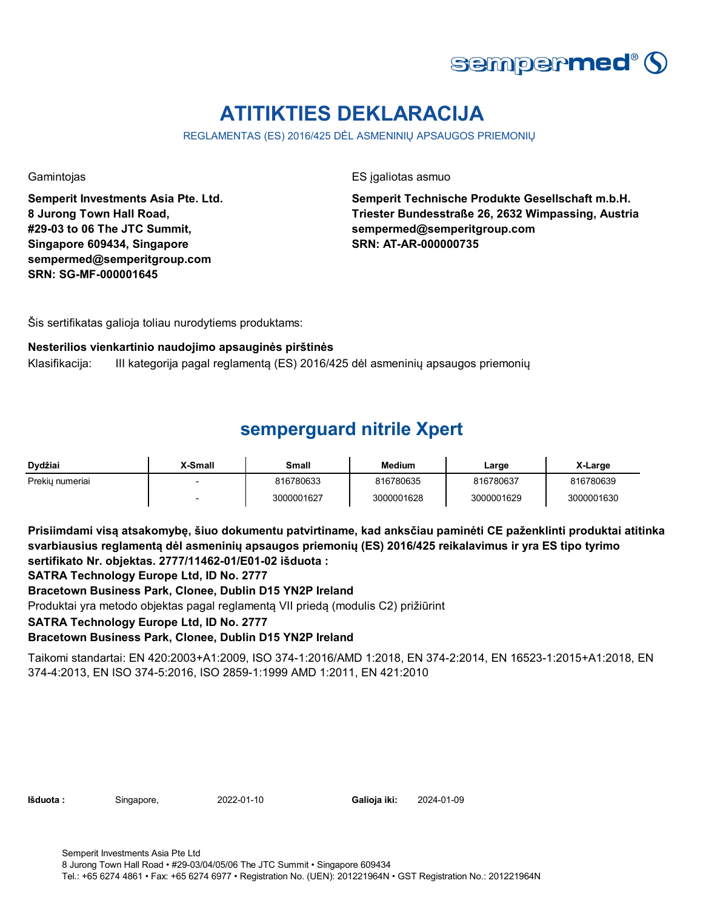

# **ATITIKTIES DEKLARACIJA**

REGLAMENTAS (ES) 2016/425 DĖL ASMENINIŲ APSAUGOS PRIEMONIŲ

**Semperit Investments Asia Pte. Ltd. 8 Jurong Town Hall Road, #29-03 to 06 The JTC Summit, Singapore 609434, Singapore sempermed@semperitgroup.com SRN: SG-MF-000001645**

Gamintojas **ES** įgaliotas asmuo

**Semperit Technische Produkte Gesellschaft m.b.H. Triester Bundesstraße 26, 2632 Wimpassing, Austria sempermed@semperitgroup.com SRN: AT-AR-000000735**

Šis sertifikatas galioja toliau nurodytiems produktams:

#### **Nesterilios vienkartinio naudojimo apsauginės pirštinės**

Klasifikacija: III kategorija pagal reglamentą (ES) 2016/425 dėl asmeninių apsaugos priemonių

## **semperguard nitrile Xpert**

| Dydžiai         | <b>X-Small</b> | Small      | <b>Medium</b> | Large      | X-Large    |
|-----------------|----------------|------------|---------------|------------|------------|
| Prekiu numeriai |                | 816780633  | 816780635     | 816780637  | 816780639  |
|                 |                | 3000001627 | 3000001628    | 3000001629 | 3000001630 |

**Prisiimdami visą atsakomybę, šiuo dokumentu patvirtiname, kad anksčiau paminėti CE paženklinti produktai atitinka svarbiausius reglamentą dėl asmeninių apsaugos priemonių (ES) 2016/425 reikalavimus ir yra ES tipo tyrimo sertifikato Nr. objektas. 2777/11462-01/E01-02 išduota :**

**SATRA Technology Europe Ltd, ID No. 2777**

**Bracetown Business Park, Clonee, Dublin D15 YN2P Ireland**

Produktai yra metodo objektas pagal reglamentą VII priedą (modulis C2) prižiūrint

**SATRA Technology Europe Ltd, ID No. 2777**

### **Bracetown Business Park, Clonee, Dublin D15 YN2P Ireland**

Taikomi standartai: EN 420:2003+A1:2009, ISO 374-1:2016/AMD 1:2018, EN 374-2:2014, EN 16523-1:2015+A1:2018, EN 374-4:2013, EN ISO 374-5:2016, ISO 2859-1:1999 AMD 1:2011, EN 421:2010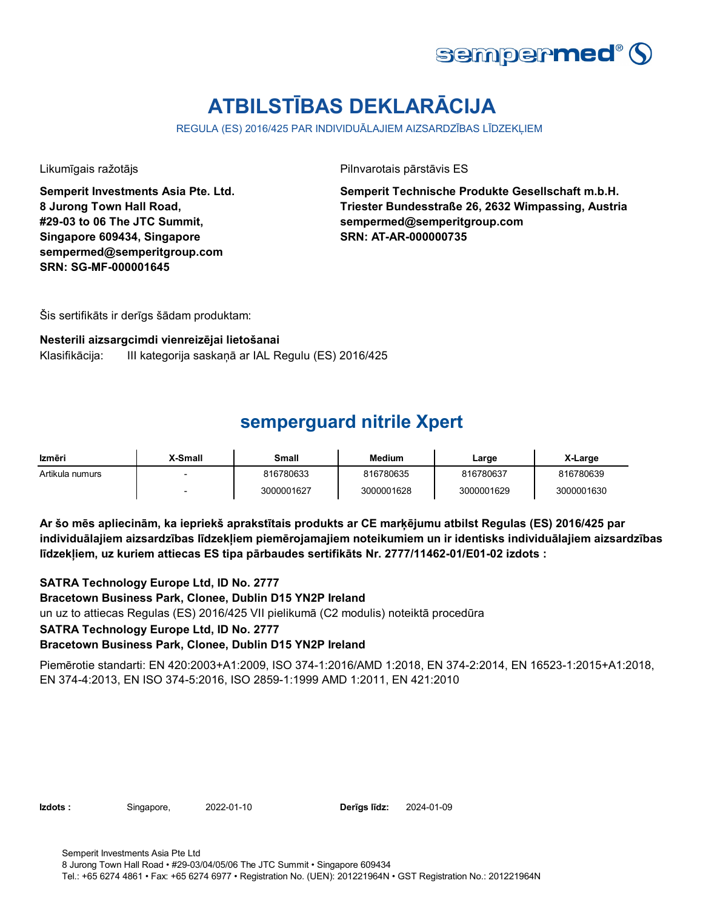

# **ATBILSTĪBAS DEKLARĀCIJA**

REGULA (ES) 2016/425 PAR INDIVIDUĀLAJIEM AIZSARDZĪBAS LĪDZEKLIEM

**Semperit Investments Asia Pte. Ltd. 8 Jurong Town Hall Road, #29-03 to 06 The JTC Summit, Singapore 609434, Singapore sempermed@semperitgroup.com SRN: SG-MF-000001645**

Likumīgais ražotājs Pilnvarotais pārstāvis ES

**Semperit Technische Produkte Gesellschaft m.b.H. Triester Bundesstraße 26, 2632 Wimpassing, Austria sempermed@semperitgroup.com SRN: AT-AR-000000735**

Šis sertifikāts ir derīgs šādam produktam:

#### **Nesterili aizsargcimdi vienreizējai lietošanai**

Klasifikācija: III kategorija saskaņā ar IAL Regulu (ES) 2016/425

### **semperguard nitrile Xpert**

| Izmēri          | <b>X-Small</b> | Small      | Medium     | Large      | X-Large    |
|-----------------|----------------|------------|------------|------------|------------|
| Artikula numurs |                | 816780633  | 816780635  | 816780637  | 816780639  |
|                 |                | 3000001627 | 3000001628 | 3000001629 | 3000001630 |

**Ar šo mēs apliecinām, ka iepriekš aprakstītais produkts ar CE marķējumu atbilst Regulas (ES) 2016/425 par individuālajiem aizsardzības līdzekļiem piemērojamajiem noteikumiem un ir identisks individuālajiem aizsardzības līdzekļiem, uz kuriem attiecas ES tipa pārbaudes sertifikāts Nr. 2777/11462-01/E01-02 izdots :**

**SATRA Technology Europe Ltd, ID No. 2777**

**Bracetown Business Park, Clonee, Dublin D15 YN2P Ireland**

un uz to attiecas Regulas (ES) 2016/425 VII pielikumā (C2 modulis) noteiktā procedūra

**SATRA Technology Europe Ltd, ID No. 2777**

### **Bracetown Business Park, Clonee, Dublin D15 YN2P Ireland**

Piemērotie standarti: EN 420:2003+A1:2009, ISO 374-1:2016/AMD 1:2018, EN 374-2:2014, EN 16523-1:2015+A1:2018, EN 374-4:2013, EN ISO 374-5:2016, ISO 2859-1:1999 AMD 1:2011, EN 421:2010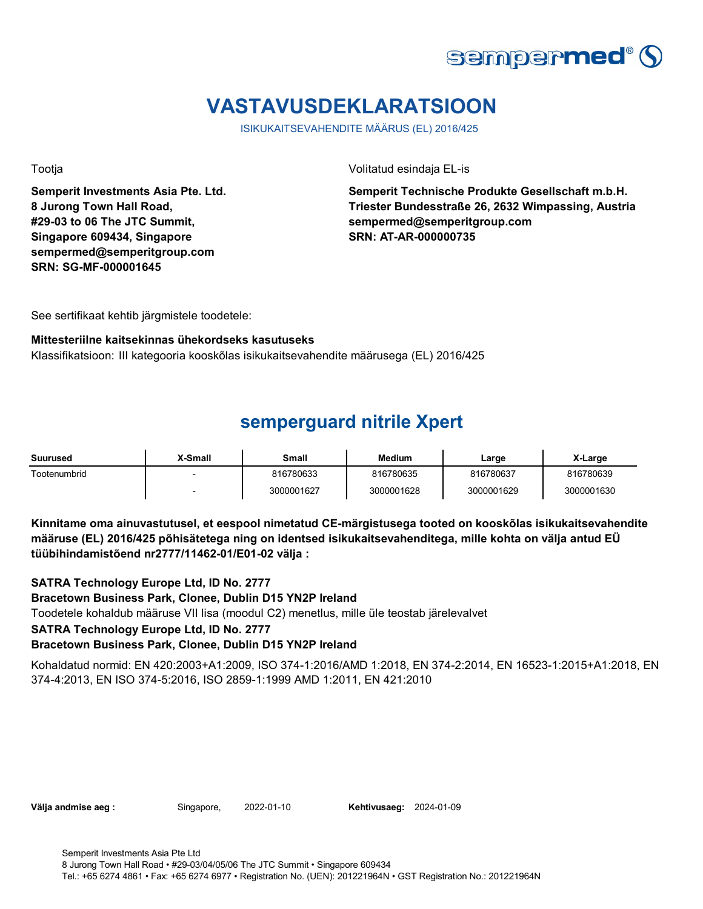

# **VASTAVUSDEKLARATSIOON**

ISIKUKAITSEVAHENDITE MÄÄRUS (EL) 2016/425

**Semperit Investments Asia Pte. Ltd. 8 Jurong Town Hall Road, #29-03 to 06 The JTC Summit, Singapore 609434, Singapore sempermed@semperitgroup.com SRN: SG-MF-000001645**

Tootja Volitatud esindaja EL-is

**Semperit Technische Produkte Gesellschaft m.b.H. Triester Bundesstraße 26, 2632 Wimpassing, Austria sempermed@semperitgroup.com SRN: AT-AR-000000735**

See sertifikaat kehtib järgmistele toodetele:

#### **Mittesteriilne kaitsekinnas ühekordseks kasutuseks**

Klassifikatsioon: III kategooria kooskõlas isikukaitsevahendite määrusega (EL) 2016/425

### **semperguard nitrile Xpert**

| Suurused     | <b>X-Small</b>           | Small      | <b>Medium</b> | Large      | X-Large    |
|--------------|--------------------------|------------|---------------|------------|------------|
| Tootenumbrid |                          | 816780633  | 816780635     | 816780637  | 816780639  |
|              | $\overline{\phantom{0}}$ | 3000001627 | 3000001628    | 3000001629 | 3000001630 |

**Kinnitame oma ainuvastutusel, et eespool nimetatud CE-märgistusega tooted on kooskõlas isikukaitsevahendite määruse (EL) 2016/425 põhisätetega ning on identsed isikukaitsevahenditega, mille kohta on välja antud EÜ tüübihindamistõend nr2777/11462-01/E01-02 välja :**

**SATRA Technology Europe Ltd, ID No. 2777**

**Bracetown Business Park, Clonee, Dublin D15 YN2P Ireland**

Toodetele kohaldub määruse VII lisa (moodul C2) menetlus, mille üle teostab järelevalvet

### **SATRA Technology Europe Ltd, ID No. 2777**

### **Bracetown Business Park, Clonee, Dublin D15 YN2P Ireland**

Kohaldatud normid: EN 420:2003+A1:2009, ISO 374-1:2016/AMD 1:2018, EN 374-2:2014, EN 16523-1:2015+A1:2018, EN 374-4:2013, EN ISO 374-5:2016, ISO 2859-1:1999 AMD 1:2011, EN 421:2010

**Välja andmise aeg :** Singapore, 2022-01-10

**Kehtivusaeg: 2024-01-09**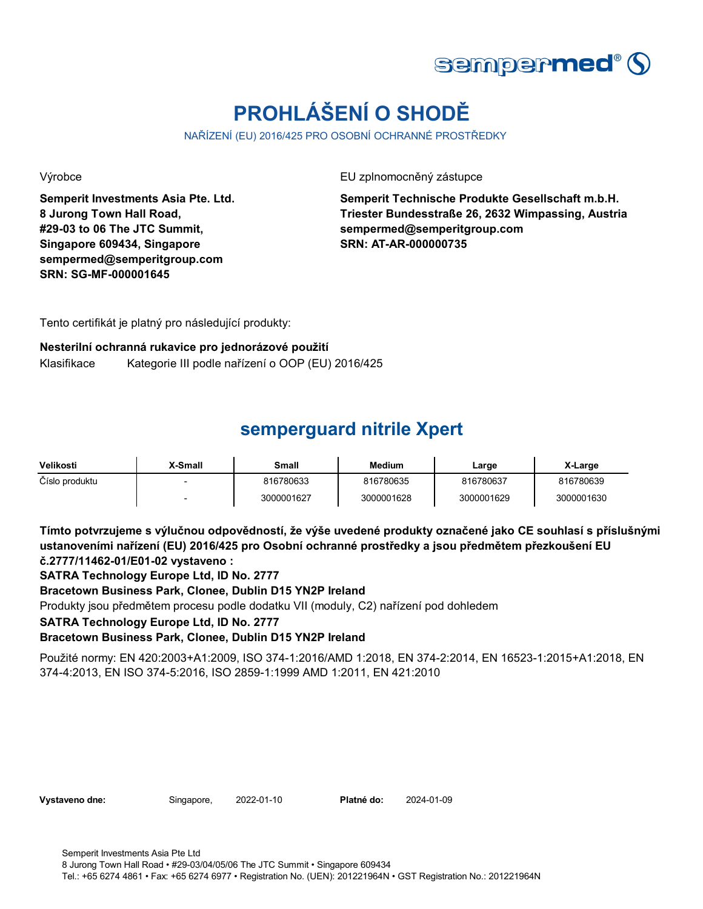

# **PROHLÁŠENÍ O SHODĚ**

NAŘÍZENÍ (EU) 2016/425 PRO OSOBNÍ OCHRANNÉ PROSTŘEDKY

**Semperit Investments Asia Pte. Ltd. 8 Jurong Town Hall Road, #29-03 to 06 The JTC Summit, Singapore 609434, Singapore sempermed@semperitgroup.com SRN: SG-MF-000001645**

Výrobce EU zplnomocněný zástupce

**Semperit Technische Produkte Gesellschaft m.b.H. Triester Bundesstraße 26, 2632 Wimpassing, Austria sempermed@semperitgroup.com SRN: AT-AR-000000735**

Tento certifikát je platný pro následující produkty:

#### **Nesterilní ochranná rukavice pro jednorázové použití** Klasifikace Kategorie III podle nařízení o OOP (EU) 2016/425

## **semperguard nitrile Xpert**

| Velikosti      | X-Small                  | Small      | <b>Medium</b> | Large      | X-Large    |
|----------------|--------------------------|------------|---------------|------------|------------|
| Číslo produktu | $\overline{\phantom{0}}$ | 816780633  | 816780635     | 816780637  | 816780639  |
|                | $\overline{\phantom{0}}$ | 3000001627 | 3000001628    | 3000001629 | 3000001630 |

**Tímto potvrzujeme s výlučnou odpovědností, že výše uvedené produkty označené jako CE souhlasí s příslušnými ustanoveními nařízení (EU) 2016/425 pro Osobní ochranné prostředky a jsou předmětem přezkoušení EU č.2777/11462-01/E01-02 vystaveno :**

**SATRA Technology Europe Ltd, ID No. 2777**

**Bracetown Business Park, Clonee, Dublin D15 YN2P Ireland**

Produkty jsou předmětem procesu podle dodatku VII (moduly, C2) nařízení pod dohledem

**SATRA Technology Europe Ltd, ID No. 2777**

**Bracetown Business Park, Clonee, Dublin D15 YN2P Ireland**

Použité normy: EN 420:2003+A1:2009, ISO 374-1:2016/AMD 1:2018, EN 374-2:2014, EN 16523-1:2015+A1:2018, EN 374-4:2013, EN ISO 374-5:2016, ISO 2859-1:1999 AMD 1:2011, EN 421:2010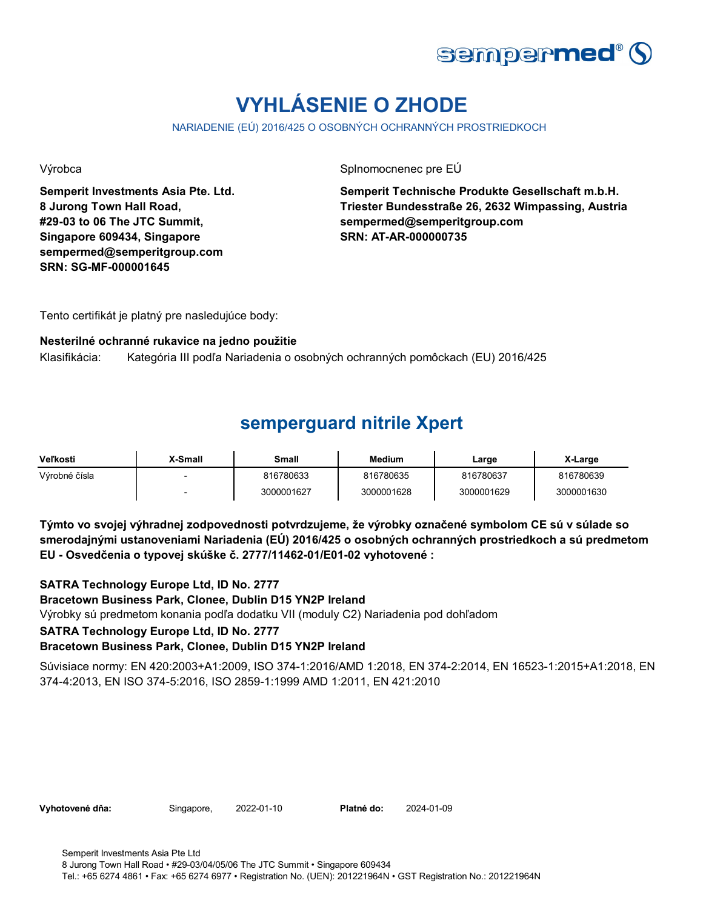

# **VYHLÁSENIE O ZHODE**

NARIADENIE (EÚ) 2016/425 O OSOBNÝCH OCHRANNÝCH PROSTRIEDKOCH

**Semperit Investments Asia Pte. Ltd. 8 Jurong Town Hall Road, #29-03 to 06 The JTC Summit, Singapore 609434, Singapore sempermed@semperitgroup.com SRN: SG-MF-000001645**

Výrobca Splnomocnenec pre EÚ

**Semperit Technische Produkte Gesellschaft m.b.H. Triester Bundesstraße 26, 2632 Wimpassing, Austria sempermed@semperitgroup.com SRN: AT-AR-000000735**

Tento certifikát je platný pre nasledujúce body:

#### **Nesterilné ochranné rukavice na jedno použitie**

Klasifikácia: Kategória III podľa Nariadenia o osobných ochranných pomôckach (EU) 2016/425

### **semperguard nitrile Xpert**

| Veľkosti      | <b>X-Small</b> | Small      | Medium     | ∟arge      | X-Large    |
|---------------|----------------|------------|------------|------------|------------|
| Výrobné čísla |                | 816780633  | 816780635  | 816780637  | 816780639  |
|               |                | 3000001627 | 3000001628 | 3000001629 | 3000001630 |

**Týmto vo svojej výhradnej zodpovednosti potvrdzujeme, že výrobky označené symbolom CE sú v súlade so smerodajnými ustanoveniami Nariadenia (EÚ) 2016/425 o osobných ochranných prostriedkoch a sú predmetom EU - Osvedčenia o typovej skúške č. 2777/11462-01/E01-02 vyhotovené :**

### **SATRA Technology Europe Ltd, ID No. 2777**

**Bracetown Business Park, Clonee, Dublin D15 YN2P Ireland**

Výrobky sú predmetom konania podľa dodatku VII (moduly C2) Nariadenia pod dohľadom

### **SATRA Technology Europe Ltd, ID No. 2777**

### **Bracetown Business Park, Clonee, Dublin D15 YN2P Ireland**

Súvisiace normy: EN 420:2003+A1:2009, ISO 374-1:2016/AMD 1:2018, EN 374-2:2014, EN 16523-1:2015+A1:2018, EN 374-4:2013, EN ISO 374-5:2016, ISO 2859-1:1999 AMD 1:2011, EN 421:2010

**Vyhotovené dňa:** Singapore, 2022-01-10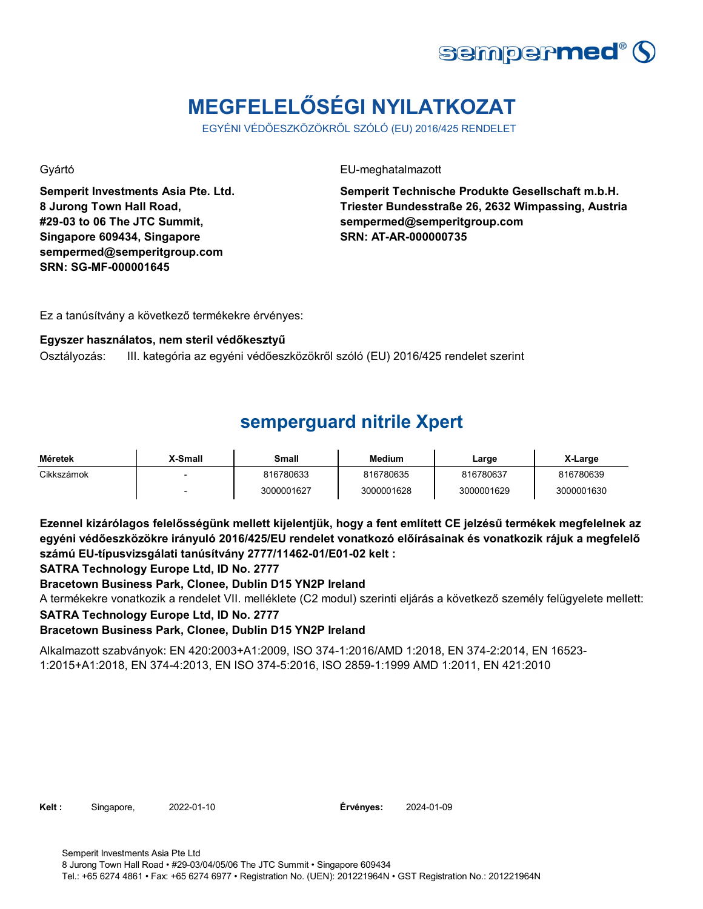

# **MEGFELELŐSÉGI NYILATKOZAT**

EGYÉNI VÉDŐESZKÖZÖKRŐL SZÓLÓ (EU) 2016/425 RENDELET

**Semperit Investments Asia Pte. Ltd. 8 Jurong Town Hall Road, #29-03 to 06 The JTC Summit, Singapore 609434, Singapore sempermed@semperitgroup.com SRN: SG-MF-000001645**

Gyártó EU-meghatalmazott

**Semperit Technische Produkte Gesellschaft m.b.H. Triester Bundesstraße 26, 2632 Wimpassing, Austria sempermed@semperitgroup.com SRN: AT-AR-000000735**

Ez a tanúsítvány a következő termékekre érvényes:

#### **Egyszer használatos, nem steril védőkesztyű**

Osztályozás: III. kategória az egyéni védőeszközökről szóló (EU) 2016/425 rendelet szerint

### **semperguard nitrile Xpert**

| Méretek    | X-Small                  | Small      | <b>Medium</b> | Large      | X-Large    |
|------------|--------------------------|------------|---------------|------------|------------|
| Cikkszámok | $\overline{\phantom{0}}$ | 816780633  | 816780635     | 816780637  | 816780639  |
|            | $\overline{\phantom{0}}$ | 3000001627 | 3000001628    | 3000001629 | 3000001630 |

**Ezennel kizárólagos felelősségünk mellett kijelentjük, hogy a fent említett CE jelzésű termékek megfelelnek az egyéni védőeszközökre irányuló 2016/425/EU rendelet vonatkozó előírásainak és vonatkozik rájuk a megfelelő számú EU-típusvizsgálati tanúsítvány 2777/11462-01/E01-02 kelt :**

**SATRA Technology Europe Ltd, ID No. 2777**

### **Bracetown Business Park, Clonee, Dublin D15 YN2P Ireland**

A termékekre vonatkozik a rendelet VII. melléklete (C2 modul) szerinti eljárás a következő személy felügyelete mellett:

**SATRA Technology Europe Ltd, ID No. 2777**

**Bracetown Business Park, Clonee, Dublin D15 YN2P Ireland**

Alkalmazott szabványok: EN 420:2003+A1:2009, ISO 374-1:2016/AMD 1:2018, EN 374-2:2014, EN 16523- 1:2015+A1:2018, EN 374-4:2013, EN ISO 374-5:2016, ISO 2859-1:1999 AMD 1:2011, EN 421:2010

**Kelt :** Singapore, 2022-01-10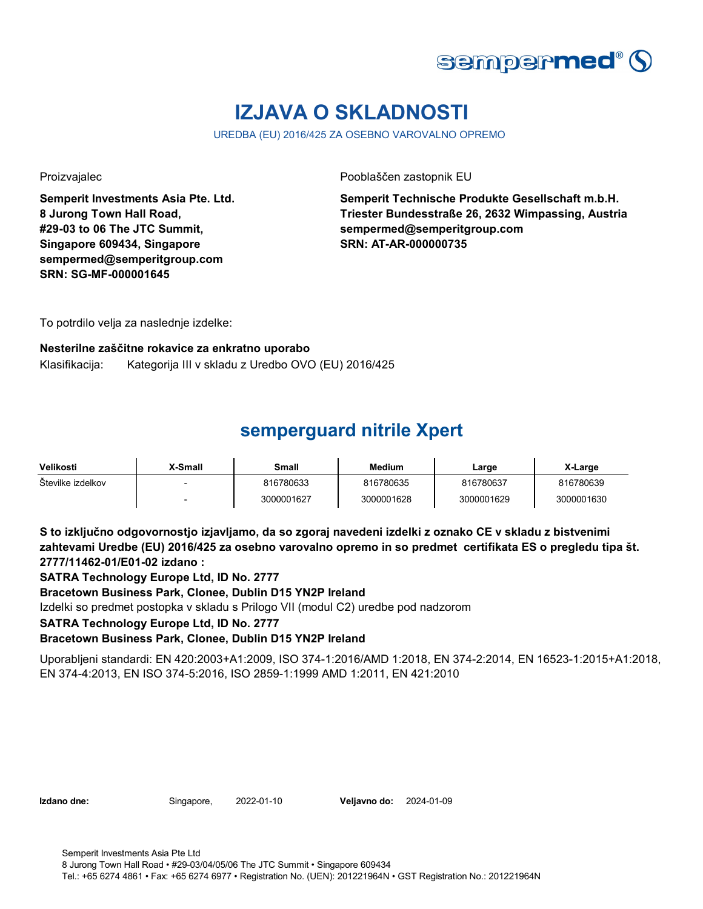

# **IZJAVA O SKLADNOSTI**

UREDBA (EU) 2016/425 ZA OSEBNO VAROVALNO OPREMO

**Semperit Investments Asia Pte. Ltd. 8 Jurong Town Hall Road, #29-03 to 06 The JTC Summit, Singapore 609434, Singapore sempermed@semperitgroup.com SRN: SG-MF-000001645**

Proizvajalec Pooblaščen zastopnik EU

**Semperit Technische Produkte Gesellschaft m.b.H. Triester Bundesstraße 26, 2632 Wimpassing, Austria sempermed@semperitgroup.com SRN: AT-AR-000000735**

To potrdilo velja za naslednje izdelke:

#### **Nesterilne zaščitne rokavice za enkratno uporabo**

Klasifikacija: Kategorija III v skladu z Uredbo OVO (EU) 2016/425

## **semperguard nitrile Xpert**

| Velikosti         | <b>X-Small</b> | Small      | <b>Medium</b> | Large      | X-Large    |
|-------------------|----------------|------------|---------------|------------|------------|
| Številke izdelkov |                | 816780633  | 816780635     | 816780637  | 816780639  |
|                   |                | 3000001627 | 3000001628    | 3000001629 | 3000001630 |

**S to izključno odgovornostjo izjavljamo, da so zgoraj navedeni izdelki z oznako CE v skladu z bistvenimi zahtevami Uredbe (EU) 2016/425 za osebno varovalno opremo in so predmet certifikata ES o pregledu tipa št. 2777/11462-01/E01-02 izdano :**

**SATRA Technology Europe Ltd, ID No. 2777**

**Bracetown Business Park, Clonee, Dublin D15 YN2P Ireland**

Izdelki so predmet postopka v skladu s Prilogo VII (modul C2) uredbe pod nadzorom

**SATRA Technology Europe Ltd, ID No. 2777**

### **Bracetown Business Park, Clonee, Dublin D15 YN2P Ireland**

Uporabljeni standardi: EN 420:2003+A1:2009, ISO 374-1:2016/AMD 1:2018, EN 374-2:2014, EN 16523-1:2015+A1:2018, EN 374-4:2013, EN ISO 374-5:2016, ISO 2859-1:1999 AMD 1:2011, EN 421:2010

**Izdano dne:** Singapore, 2022-01-10 **Veljavno do:** 2024-01-09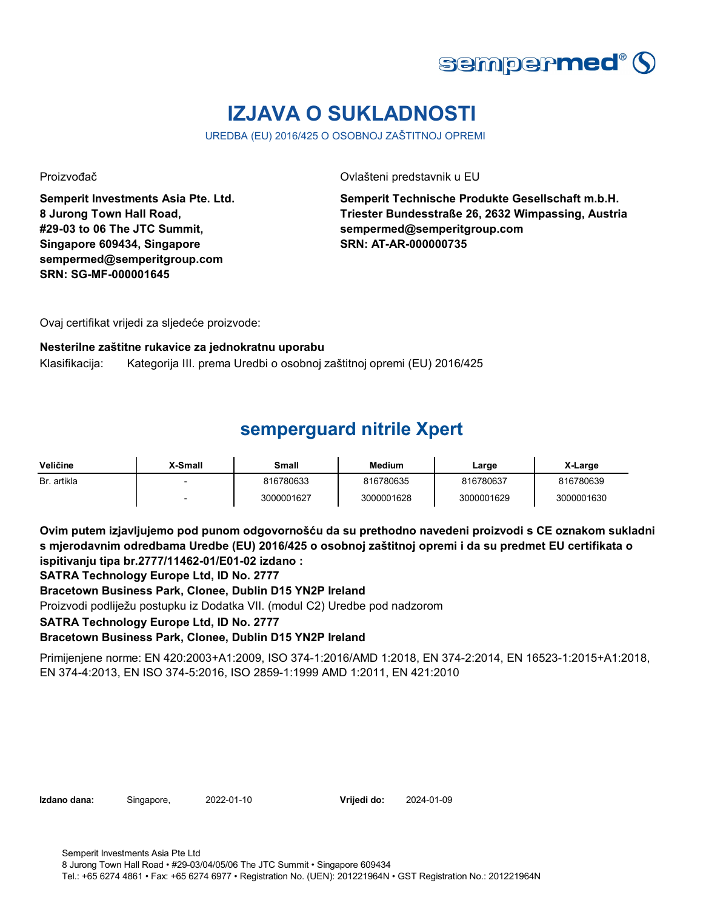

# **IZJAVA O SUKLADNOSTI**

UREDBA (EU) 2016/425 O OSOBNOJ ZAŠTITNOJ OPREMI

**Semperit Investments Asia Pte. Ltd. 8 Jurong Town Hall Road, #29-03 to 06 The JTC Summit, Singapore 609434, Singapore sempermed@semperitgroup.com SRN: SG-MF-000001645**

Proizvođač Ovlašteni predstavnik u EU

**Semperit Technische Produkte Gesellschaft m.b.H. Triester Bundesstraße 26, 2632 Wimpassing, Austria sempermed@semperitgroup.com SRN: AT-AR-000000735**

Ovaj certifikat vrijedi za sljedeće proizvode:

### **Nesterilne zaštitne rukavice za jednokratnu uporabu**

Klasifikacija: Kategorija III. prema Uredbi o osobnoj zaštitnoj opremi (EU) 2016/425

## **semperguard nitrile Xpert**

| Veličine    | X-Small                  | Small      | <b>Medium</b> | Large      | X-Large    |
|-------------|--------------------------|------------|---------------|------------|------------|
| Br. artikla | $\overline{\phantom{0}}$ | 816780633  | 816780635     | 816780637  | 816780639  |
|             | $\overline{\phantom{0}}$ | 3000001627 | 3000001628    | 3000001629 | 3000001630 |

**Ovim putem izjavljujemo pod punom odgovornošću da su prethodno navedeni proizvodi s CE oznakom sukladni s mjerodavnim odredbama Uredbe (EU) 2016/425 o osobnoj zaštitnoj opremi i da su predmet EU certifikata o ispitivanju tipa br.2777/11462-01/E01-02 izdano :**

**SATRA Technology Europe Ltd, ID No. 2777**

**Bracetown Business Park, Clonee, Dublin D15 YN2P Ireland**

Proizvodi podliježu postupku iz Dodatka VII. (modul C2) Uredbe pod nadzorom

**SATRA Technology Europe Ltd, ID No. 2777**

**Bracetown Business Park, Clonee, Dublin D15 YN2P Ireland**

Primijenjene norme: EN 420:2003+A1:2009, ISO 374-1:2016/AMD 1:2018, EN 374-2:2014, EN 16523-1:2015+A1:2018, EN 374-4:2013, EN ISO 374-5:2016, ISO 2859-1:1999 AMD 1:2011, EN 421:2010

**Izdano dana:** Singapore, 2022-01-10

**Vrijedi do:** 2024-01-09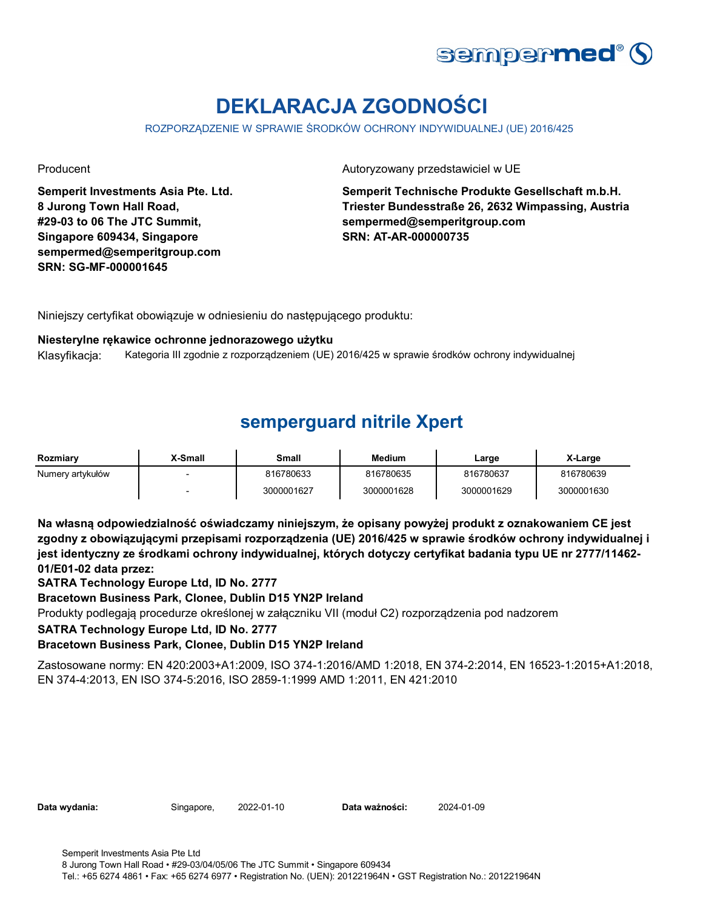

# **DEKLARACJA ZGODNOŚCI**

ROZPORZĄDZENIE W SPRAWIE ŚRODKÓW OCHRONY INDYWIDUALNEJ (UE) 2016/425

**Semperit Investments Asia Pte. Ltd. 8 Jurong Town Hall Road, #29-03 to 06 The JTC Summit, Singapore 609434, Singapore sempermed@semperitgroup.com SRN: SG-MF-000001645**

#### Producent **Autoryzowany przedstawiciel w UE**

**Semperit Technische Produkte Gesellschaft m.b.H. Triester Bundesstraße 26, 2632 Wimpassing, Austria sempermed@semperitgroup.com SRN: AT-AR-000000735**

Niniejszy certyfikat obowiązuje w odniesieniu do następującego produktu:

#### **Niesterylne rękawice ochronne jednorazowego użytku**

Klasyfikacja: Kategoria III zgodnie z rozporządzeniem (UE) 2016/425 w sprawie środków ochrony indywidualnej

### **semperguard nitrile Xpert**

| Rozmiary         | X-Small | Small      | <b>Medium</b> | ∟arge      | X-Large    |
|------------------|---------|------------|---------------|------------|------------|
| Numery artykułów |         | 816780633  | 816780635     | 816780637  | 816780639  |
|                  |         | 3000001627 | 3000001628    | 3000001629 | 3000001630 |

**Na własną odpowiedzialność oświadczamy niniejszym, że opisany powyżej produkt z oznakowaniem CE jest zgodny z obowiązującymi przepisami rozporządzenia (UE) 2016/425 w sprawie środków ochrony indywidualnej i jest identyczny ze środkami ochrony indywidualnej, których dotyczy certyfikat badania typu UE nr 2777/11462- 01/E01-02 data przez:**

**SATRA Technology Europe Ltd, ID No. 2777**

#### **Bracetown Business Park, Clonee, Dublin D15 YN2P Ireland**

Produkty podlegają procedurze określonej w załączniku VII (moduł C2) rozporządzenia pod nadzorem

#### **SATRA Technology Europe Ltd, ID No. 2777**

### **Bracetown Business Park, Clonee, Dublin D15 YN2P Ireland**

Zastosowane normy: EN 420:2003+A1:2009, ISO 374-1:2016/AMD 1:2018, EN 374-2:2014, EN 16523-1:2015+A1:2018, EN 374-4:2013, EN ISO 374-5:2016, ISO 2859-1:1999 AMD 1:2011, EN 421:2010

| Data wydania: |  |
|---------------|--|
|               |  |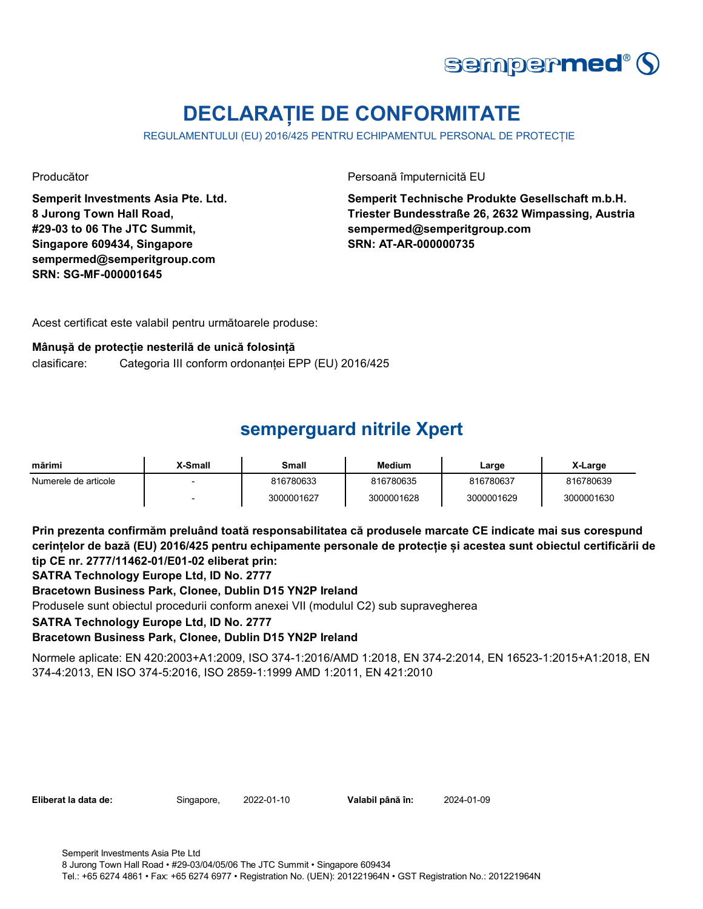

# **DECLARAȚIE DE CONFORMITATE**

REGULAMENTULUI (EU) 2016/425 PENTRU ECHIPAMENTUL PERSONAL DE PROTECȚIE

**Semperit Investments Asia Pte. Ltd. 8 Jurong Town Hall Road, #29-03 to 06 The JTC Summit, Singapore 609434, Singapore sempermed@semperitgroup.com SRN: SG-MF-000001645**

Producător Persoană împuternicită EU

**Semperit Technische Produkte Gesellschaft m.b.H. Triester Bundesstraße 26, 2632 Wimpassing, Austria sempermed@semperitgroup.com SRN: AT-AR-000000735**

Acest certificat este valabil pentru următoarele produse:

#### **Mânușă de protecție nesterilă de unică folosință**

clasificare: Categoria III conform ordonanței EPP (EU) 2016/425

## **semperguard nitrile Xpert**

| mărimi               | X-Small                  | Small      | <b>Medium</b> | Large      | X-Large    |
|----------------------|--------------------------|------------|---------------|------------|------------|
| Numerele de articole |                          | 816780633  | 816780635     | 816780637  | 816780639  |
|                      | $\overline{\phantom{0}}$ | 3000001627 | 3000001628    | 3000001629 | 3000001630 |

**Prin prezenta confirmăm preluând toată responsabilitatea că produsele marcate CE indicate mai sus corespund cerințelor de bază (EU) 2016/425 pentru echipamente personale de protecție și acestea sunt obiectul certificării de tip CE nr. 2777/11462-01/E01-02 eliberat prin:**

**SATRA Technology Europe Ltd, ID No. 2777**

**Bracetown Business Park, Clonee, Dublin D15 YN2P Ireland**

Produsele sunt obiectul procedurii conform anexei VII (modulul C2) sub supravegherea

**SATRA Technology Europe Ltd, ID No. 2777**

**Bracetown Business Park, Clonee, Dublin D15 YN2P Ireland**

Normele aplicate: EN 420:2003+A1:2009, ISO 374-1:2016/AMD 1:2018, EN 374-2:2014, EN 16523-1:2015+A1:2018, EN 374-4:2013, EN ISO 374-5:2016, ISO 2859-1:1999 AMD 1:2011, EN 421:2010

**Eliberat la data de:** Singapore, 2022-01-10

Valabil până în: 2024-01-09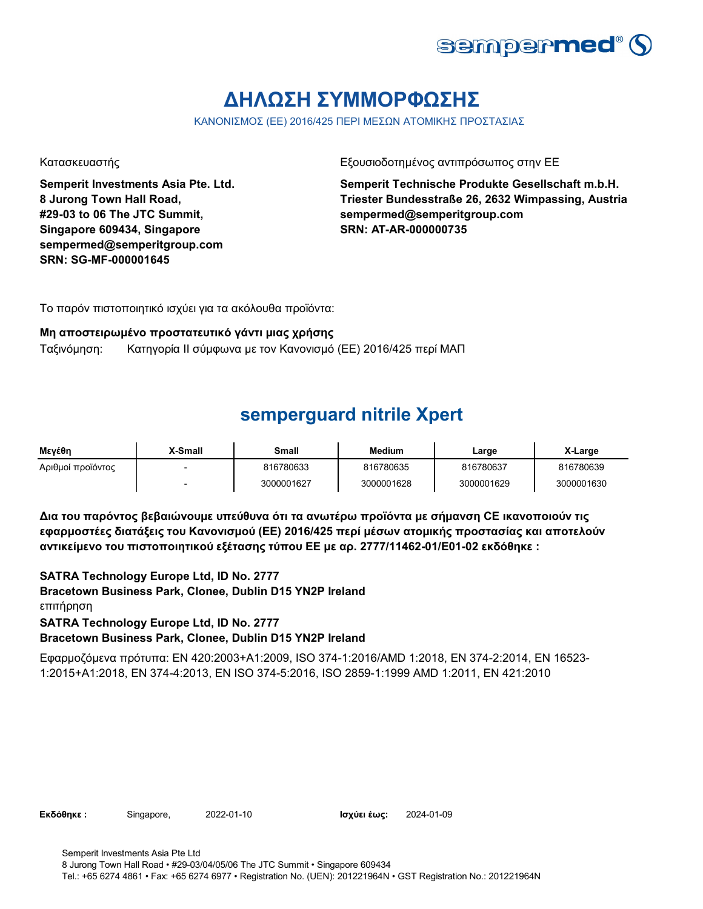

# **ΔΗΛΩΣΗ ΣΥΜΜΟΡΦΩΣΗΣ**

ΚΑΝΟΝΙΣΜΟΣ (ΕΕ) 2016/425 ΠΕΡΙ ΜΕΣΩΝ ΑΤΟΜΙΚΗΣ ΠΡΟΣΤΑΣΙΑΣ

**Semperit Investments Asia Pte. Ltd. 8 Jurong Town Hall Road, #29-03 to 06 The JTC Summit, Singapore 609434, Singapore sempermed@semperitgroup.com SRN: SG-MF-000001645**

Κατασκευαστής Εξουσιοδοτημένος αντιπρόσωπος στην ΕΕ

**Semperit Technische Produkte Gesellschaft m.b.H. Triester Bundesstraße 26, 2632 Wimpassing, Austria sempermed@semperitgroup.com SRN: AT-AR-000000735**

Το παρόν πιστοποιητικό ισχύει για τα ακόλουθα προϊόντα:

#### **Μη αποστειρωμένο προστατευτικό γάντι μιας χρήσης**

Ταξινόμηση: Κατηγορία II σύμφωνα με τον Κανονισμό (ΕΕ) 2016/425 περί ΜΑΠ

### **semperguard nitrile Xpert**

| Μενέθη            | <b>X-Small</b> | Small      | <b>Medium</b> | Large      | X-Large    |
|-------------------|----------------|------------|---------------|------------|------------|
| Αριθμοί προϊόντος |                | 816780633  | 816780635     | 816780637  | 816780639  |
|                   |                | 3000001627 | 3000001628    | 3000001629 | 3000001630 |

**Δια του παρόντος βεβαιώνουμε υπεύθυνα ότι τα ανωτέρω προϊόντα με σήμανση CE ικανοποιούν τις εφαρμοστέες διατάξεις του Κανονισμού (ΕΕ) 2016/425 περί μέσων ατομικής προστασίας και αποτελούν αντικείμενο του πιστοποιητικού εξέτασης τύπου ΕΕ με αρ. 2777/11462-01/E01-02 εκδόθηκε :**

 **Bracetown Business Park, Clonee, Dublin D15 YN2P Ireland** επιτήρηση **SATRA Technology Europe Ltd, ID No. 2777 SATRA Technology Europe Ltd, ID No. 2777**

**Bracetown Business Park, Clonee, Dublin D15 YN2P Ireland**

Εφαρμοζόμενα πρότυπα: EN 420:2003+A1:2009, ISO 374-1:2016/AMD 1:2018, EN 374-2:2014, EN 16523- 1:2015+A1:2018, EN 374-4:2013, EN ISO 374-5:2016, ISO 2859-1:1999 AMD 1:2011, EN 421:2010

**Εκδόθηκε : Singapore, 2022-01-10 2021 Ισχύει έως: 2024-01-09**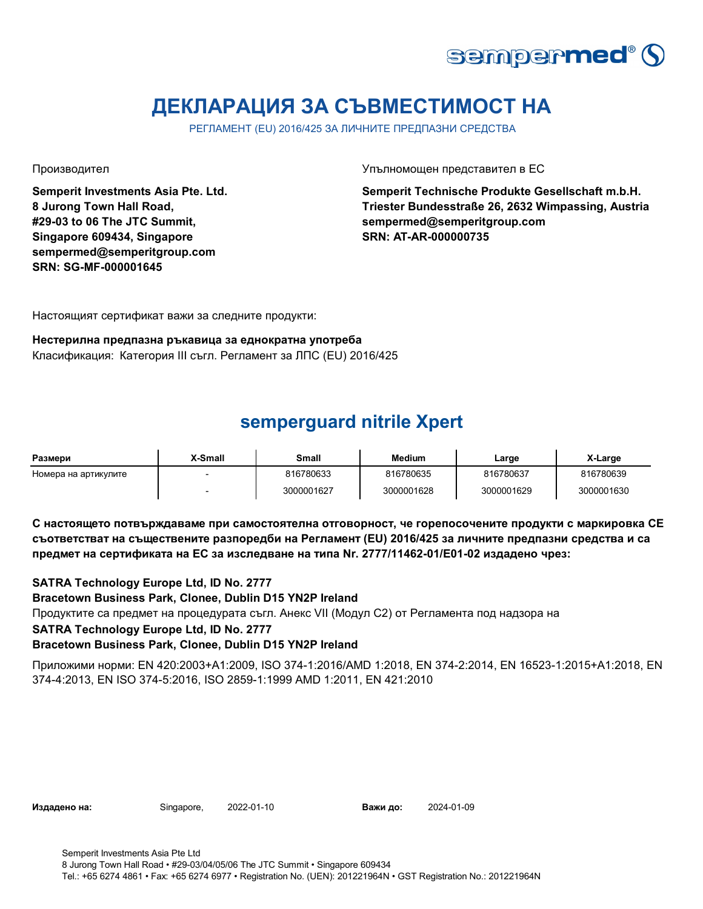

# **ДЕКЛАРАЦИЯ ЗА СЪВМЕСТИМОСТ НА**

РЕГЛАМЕНТ (EU) 2016/425 ЗА ЛИЧНИТЕ ПРЕДПАЗНИ СРЕДСТВА

**Semperit Investments Asia Pte. Ltd. 8 Jurong Town Hall Road, #29-03 to 06 The JTC Summit, Singapore 609434, Singapore sempermed@semperitgroup.com SRN: SG-MF-000001645**

#### Производител Упълномощен представител в ЕС

**Semperit Technische Produkte Gesellschaft m.b.H. Triester Bundesstraße 26, 2632 Wimpassing, Austria sempermed@semperitgroup.com SRN: AT-AR-000000735**

Настоящият сертификат важи за следните продукти:

#### **Нестерилна предпазна ръкавица за еднократна употреба**

Класификация: Категория III съгл. Регламент за ЛПС (EU) 2016/425

### **semperguard nitrile Xpert**

| Размери              | X-Small | <b>Small</b> | <b>Medium</b> | Large      | X-Large    |
|----------------------|---------|--------------|---------------|------------|------------|
| Номера на артикулите |         | 816780633    | 816780635     | 816780637  | 816780639  |
|                      |         | 3000001627   | 3000001628    | 3000001629 | 3000001630 |

**С настоящето потвърждаваме при самостоятелна отговорност, че горепосочените продукти с маркировка СЕ съответстват на съществените разпоредби на Регламент (EU) 2016/425 за личните предпазни средства и са предмет на сертификата на ЕС за изследване на типа Nr. 2777/11462-01/E01-02 издадено чрез:**

### **SATRA Technology Europe Ltd, ID No. 2777**

**Bracetown Business Park, Clonee, Dublin D15 YN2P Ireland**

Продуктите са предмет на процедурата съгл. Анекс VII (Модул С2) от Регламента под надзора на

#### **SATRA Technology Europe Ltd, ID No. 2777**

### **Bracetown Business Park, Clonee, Dublin D15 YN2P Ireland**

Приложими норми: EN 420:2003+A1:2009, ISO 374-1:2016/AMD 1:2018, EN 374-2:2014, EN 16523-1:2015+A1:2018, EN 374-4:2013, EN ISO 374-5:2016, ISO 2859-1:1999 AMD 1:2011, EN 421:2010

**Издадено на:** Singapore, 2022-01-10